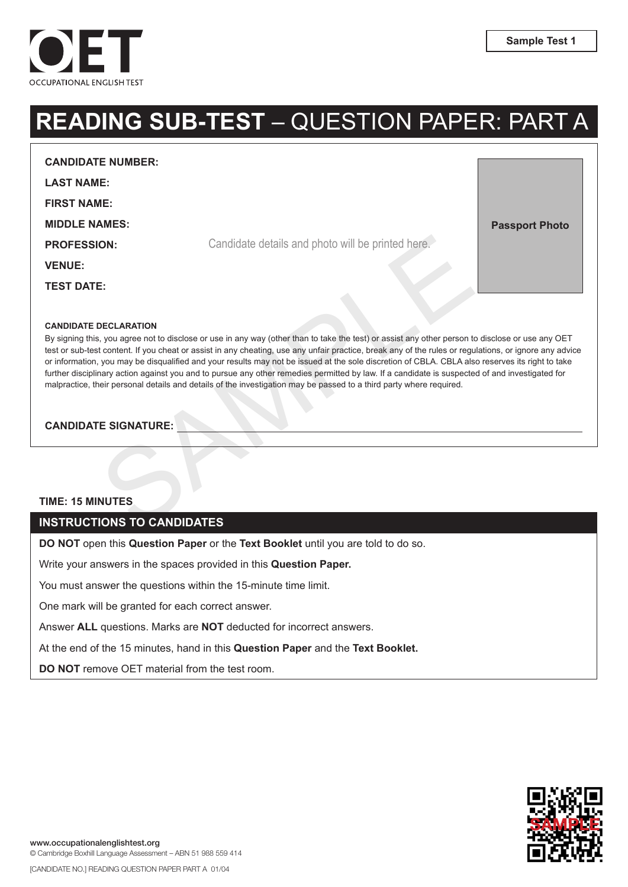

**Passport Photo**

# **READING SUB-TEST** – QUESTION PAPER: PART A

**CANDIDATE NUMBER:** 

**LAST NAME:**

**FIRST NAME:**

**MIDDLE NAMES:**

**PROFESSION:**

**VENUE:**

**TEST DATE:**

#### **CANDIDATE DECLARATION**

Candidate details and photo will be printed here.<br>
E:<br>
SECLARATION<br>
SAMPLE SECARATION<br>
SAMPLE SECARATION<br>
SAMPLE SAMPLE SONG CONSIDE THE AND CONSIDER THE SAMPLE OF THE SAMPLE OF THE SAMPLE OF THE SAMPLE SAMPLE SAMPLE THE S By signing this, you agree not to disclose or use in any way (other than to take the test) or assist any other person to disclose or use any OET test or sub-test content. If you cheat or assist in any cheating, use any unfair practice, break any of the rules or regulations, or ignore any advice or information, you may be disqualified and your results may not be issued at the sole discretion of CBLA. CBLA also reserves its right to take further disciplinary action against you and to pursue any other remedies permitted by law. If a candidate is suspected of and investigated for malpractice, their personal details and details of the investigation may be passed to a third party where required.

Candidate details and photo will be printed here.

**CANDIDATE SIGNATURE:** 

#### **TIME: 15 MINUTES**

#### **INSTRUCTIONS TO CANDIDATES**

**DO NOT** open this **Question Paper** or the **Text Booklet** until you are told to do so.

Write your answers in the spaces provided in this **Question Paper.**

You must answer the questions within the 15-minute time limit.

One mark will be granted for each correct answer.

Answer **ALL** questions. Marks are **NOT** deducted for incorrect answers.

At the end of the 15 minutes, hand in this **Question Paper** and the **Text Booklet.**

**DO NOT** remove OET material from the test room.

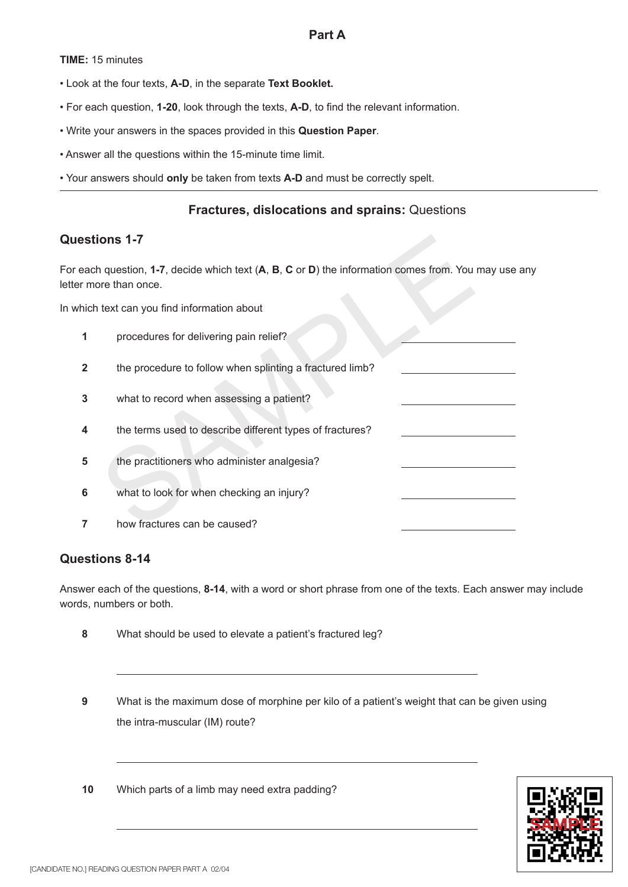**TIME:** 15 minutes

- Look at the four texts, **A-D**, in the separate **Text Booklet.**
- For each question, **1-20**, look through the texts, **A-D**, to find the relevant information.
- Write your answers in the spaces provided in this **Question Paper** .
- Answer all the questions within the 15-minute time limit.
- Your answers should **only** be taken from texts **A-D** and must be correctly spelt.

## **Fractures, dislocations and sprains:** Questions

# **Questions 1-7**

ions 1-7<br>
n question, 1-7, decide which text (A, B, C or D) the information comes from. You<br>
text can you find information about<br>
procedures for delivering pain relief?<br>
the procedure to follow when splinting a fractured l For each question, **1-7**, decide which text (**A**, **B**, **C** or **D**) the information comes from. You may use any letter more than once.

In which text can you find information about

- **1** procedures for delivering pain relief?
- **2** the procedure to follow when splinting a fractured limb?
- **3** what to record when assessing a patient?
- **4** the terms used to describe different types of fractures?
- **5** the practitioners who administer analgesia?
- **6** what to look for when checking an injury?
- **7** how fractures can be caused?

### **Questions 8-14**

Answer each of the questions, **8-14**, with a word or short phrase from one of the texts. Each answer may include words, numbers or both.

- **8** What should be used to elevate a patient's fractured leg?
- **9** What is the maximum dose of morphine per kilo of a patient's weight that can be given using the intra-muscular (IM) route?
- **10** Which parts of a limb may need extra padding?

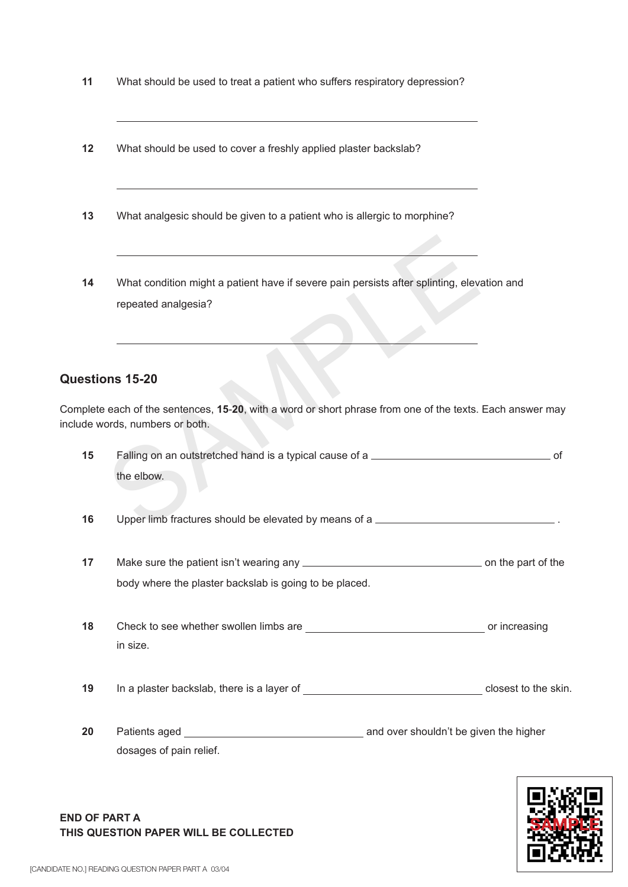| 11 | What should be used to treat a patient who suffers respiratory depression?                                                       |
|----|----------------------------------------------------------------------------------------------------------------------------------|
| 12 | What should be used to cover a freshly applied plaster backslab?                                                                 |
| 13 | What analgesic should be given to a patient who is allergic to morphine?                                                         |
| 14 | What condition might a patient have if severe pain persists after splinting, elevation and<br>repeated analgesia?                |
|    | uestions 15-20                                                                                                                   |
|    | mplete each of the sentences, 15-20, with a word or short phrase from one of the texts. Each ans<br>lude words, numbers or both. |
| 15 | Falling on an outstretched hand is a typical cause of a<br>the elbow.                                                            |
| 16 | Upper limb fractures should be elevated by means of a                                                                            |

# **Questions 15-20**

Complete each of the sentences, **15** -**20**, with a word or short phrase from one of the texts. Each answer may include words, numbers or both.

| 15<br>Falling on an outstretched hand is a typical cause of a |                                                        | .of |  |
|---------------------------------------------------------------|--------------------------------------------------------|-----|--|
|                                                               | the elbow.                                             |     |  |
| 16                                                            | Upper limb fractures should be elevated by means of a  |     |  |
| 17                                                            | body where the plaster backslab is going to be placed. |     |  |
| 18                                                            | in size.                                               |     |  |
| 19                                                            |                                                        |     |  |
| 20                                                            | dosages of pain relief.                                |     |  |



#### **END OF PART A THIS QUESTION PAPER WILL BE COLLECTED**